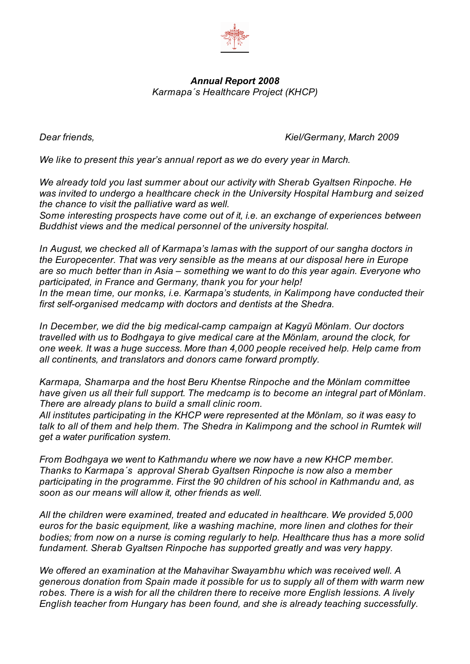

## *Annual Report 2008 Karmapa´s Healthcare Project (KHCP)*

*Dear friends, Kiel/Germany, March 2009*

*We like to present this year's annual report as we do every year in March.*

*We already told you last summer about our activity with Sherab Gyaltsen Rinpoche. He was invited to undergo a healthcare check in the University Hospital Hamburg and seized the chance to visit the palliative ward as well.*

*Some interesting prospects have come out of it, i.e. an exchange of experiences between Buddhist views and the medical personnel of the university hospital.*

*In August, we checked all of Karmapa's lamas with the support of our sangha doctors in the Europecenter. That was very sensible as the means at our disposal here in Europe are so much better than in Asia – something we want to do this year again. Everyone who participated, in France and Germany, thank you for your help! In the mean time, our monks, i.e. Karmapa's students, in Kalimpong have conducted their first self-organised medcamp with doctors and dentists at the Shedra.*

*In December, we did the big medical-camp campaign at Kagyü Mönlam. Our doctors travelled with us to Bodhgaya to give medical care at the Mönlam, around the clock, for one week. It was a huge success. More than 4,000 people received help. Help came from all continents, and translators and donors came forward promptly.*

*Karmapa, Shamarpa and the host Beru Khentse Rinpoche and the Mönlam committee have given us all their full support. The medcamp is to become an integral part of Mönlam. There are already plans to build a small clinic room.*

*All institutes participating in the KHCP were represented at the Mönlam, so it was easy to talk to all of them and help them. The Shedra in Kalimpong and the school in Rumtek will get a water purification system.*

*From Bodhgaya we went to Kathmandu where we now have a new KHCP member. Thanks to Karmapa´s approval Sherab Gyaltsen Rinpoche is now also a member participating in the programme. First the 90 children of his school in Kathmandu and, as soon as our means will allow it, other friends as well.*

*All the children were examined, treated and educated in healthcare. We provided 5,000 euros for the basic equipment, like a washing machine, more linen and clothes for their bodies; from now on a nurse is coming regularly to help. Healthcare thus has a more solid fundament. Sherab Gyaltsen Rinpoche has supported greatly and was very happy.*

*We offered an examination at the Mahavihar Swayambhu which was received well. A generous donation from Spain made it possible for us to supply all of them with warm new robes. There is a wish for all the children there to receive more English lessions. A lively English teacher from Hungary has been found, and she is already teaching successfully.*